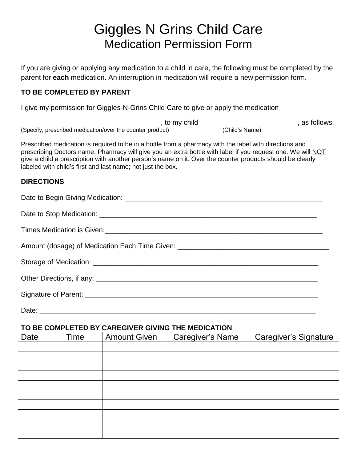## Giggles N Grins Child Care Medication Permission Form

If you are giving or applying any medication to a child in care, the following must be completed by the parent for **each** medication. An interruption in medication will require a new permission form.

## **TO BE COMPLETED BY PARENT**

I give my permission for Giggles-N-Grins Child Care to give or apply the medication

|                                                                                                                                                                                                                                                                                                                                                                                                   | edication/over the counter product) (Child <sup>orne</sup> (Child's Name) and Chilows.<br>edication/over the counter product) |  |  |
|---------------------------------------------------------------------------------------------------------------------------------------------------------------------------------------------------------------------------------------------------------------------------------------------------------------------------------------------------------------------------------------------------|-------------------------------------------------------------------------------------------------------------------------------|--|--|
| (Specify, prescribed medication/over the counter product)                                                                                                                                                                                                                                                                                                                                         |                                                                                                                               |  |  |
| Prescribed medication is required to be in a bottle from a pharmacy with the label with directions and<br>prescribing Doctors name. Pharmacy will give you an extra bottle with label if you request one. We will NOT<br>give a child a prescription with another person's name on it. Over the counter products should be clearly<br>labeled with child's first and last name; not just the box. |                                                                                                                               |  |  |
| <b>DIRECTIONS</b>                                                                                                                                                                                                                                                                                                                                                                                 |                                                                                                                               |  |  |
|                                                                                                                                                                                                                                                                                                                                                                                                   |                                                                                                                               |  |  |
|                                                                                                                                                                                                                                                                                                                                                                                                   |                                                                                                                               |  |  |
|                                                                                                                                                                                                                                                                                                                                                                                                   |                                                                                                                               |  |  |
| Amount (dosage) of Medication Each Time Given: __________________________________                                                                                                                                                                                                                                                                                                                 |                                                                                                                               |  |  |
| Storage of Medication: Storage of Medication:                                                                                                                                                                                                                                                                                                                                                     |                                                                                                                               |  |  |
|                                                                                                                                                                                                                                                                                                                                                                                                   |                                                                                                                               |  |  |
|                                                                                                                                                                                                                                                                                                                                                                                                   |                                                                                                                               |  |  |
|                                                                                                                                                                                                                                                                                                                                                                                                   |                                                                                                                               |  |  |

## **TO BE COMPLETED BY CAREGIVER GIVING THE MEDICATION**

| Date | Time | <b>Amount Given</b> | <b>Caregiver's Name</b> | <b>Caregiver's Signature</b> |
|------|------|---------------------|-------------------------|------------------------------|
|      |      |                     |                         |                              |
|      |      |                     |                         |                              |
|      |      |                     |                         |                              |
|      |      |                     |                         |                              |
|      |      |                     |                         |                              |
|      |      |                     |                         |                              |
|      |      |                     |                         |                              |
|      |      |                     |                         |                              |
|      |      |                     |                         |                              |
|      |      |                     |                         |                              |